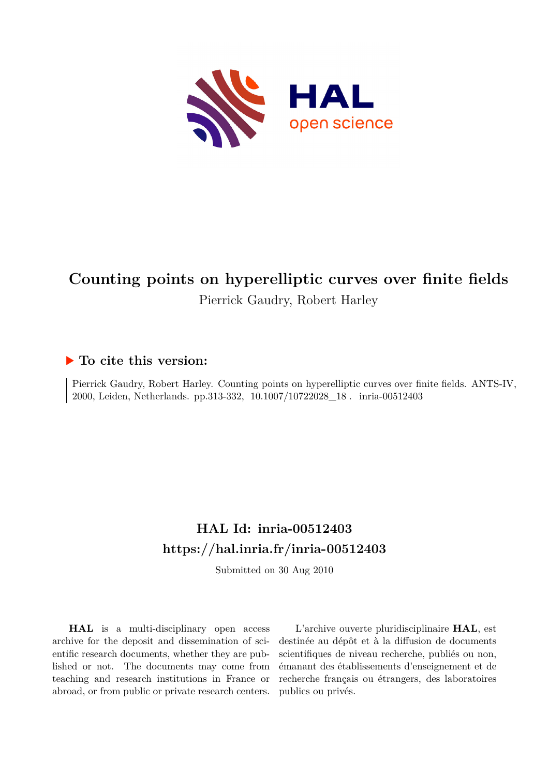

# **Counting points on hyperelliptic curves over finite fields** Pierrick Gaudry, Robert Harley

## **To cite this version:**

Pierrick Gaudry, Robert Harley. Counting points on hyperelliptic curves over finite fields. ANTS-IV, 2000, Leiden, Netherlands. pp.313-332, 10.1007/10722028\_18. inria-00512403

# **HAL Id: inria-00512403 <https://hal.inria.fr/inria-00512403>**

Submitted on 30 Aug 2010

**HAL** is a multi-disciplinary open access archive for the deposit and dissemination of scientific research documents, whether they are published or not. The documents may come from teaching and research institutions in France or abroad, or from public or private research centers.

L'archive ouverte pluridisciplinaire **HAL**, est destinée au dépôt et à la diffusion de documents scientifiques de niveau recherche, publiés ou non, émanant des établissements d'enseignement et de recherche français ou étrangers, des laboratoires publics ou privés.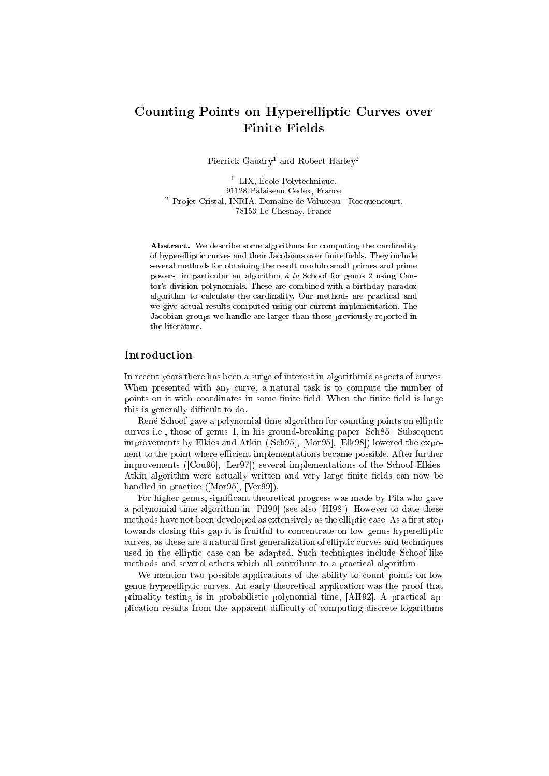# Counting Points on Hyperelliptic Curves over

Pierrick Gaudry – and Robert Harley

 LIX, Ecole Polytechnique, Palaiseau Cedex, France - Projet Cristal, INRIA, Domaine de Voluceau - Rocquencourt, Le Chesnay, France

Abstract. We describe some algorithms for computing the cardinality of hyperelliptic curves and their Jacobians over finite fields. They include several methods for obtaining the result modulo small primes and prime powers, in particular an algorithm  $\dot{a}$  la Schoof for genus 2 using Cantor's division polynomials. These are combined with a birthday paradox algorithm to calculate the cardinality. Our methods are practical and we give actual results computed using our current implementation. The Jacobian groups we handle are larger than those previously reported in the literature.

## **Introduction**

In recent years there has been a surge of interest in algorithmic aspects of curves. When presented with any curve, a natural task is to compute the number of points on it with coordinates in some finite field. When the finite field is large this is generally difficult to do.

René Schoof gave a polynomial time algorithm for counting points on elliptic curves i.e., those of genus 1, in his ground-breaking paper [Sch85]. Subsequent improvements by Elkies and Atkin ([Sch95], [Mor95], [Elk98]) lowered the exponent to the point where efficient implementations became possible. After further improvements ([Cou96], [Ler97]) several implementations of the Schoof-Elkies-Atkin algorithm were actually written and very large finite fields can now be handled in practice ([Mor95], [Ver99]).

For higher genus, signicant theoretical progress was made by Pila who gave a polynomial time algorithm in [Pil90] (see also [HI98]). However to date these methods have not been developed as extensively as the elliptic case. As a first step towards closing this gap it is fruitful to concentrate on low genus hyperelliptic curves, as these are a natural first generalization of elliptic curves and techniques used in the elliptic case can be adapted. Such techniques include Schoof-like methods and several others which all contribute to a practical algorithm.

We mention two possible applications of the ability to count points on low genus hyperelliptic curves. An early theoretical application was the proof that primality testing is in probabilistic polynomial time, [AH92]. A practical application results from the apparent difficulty of computing discrete logarithms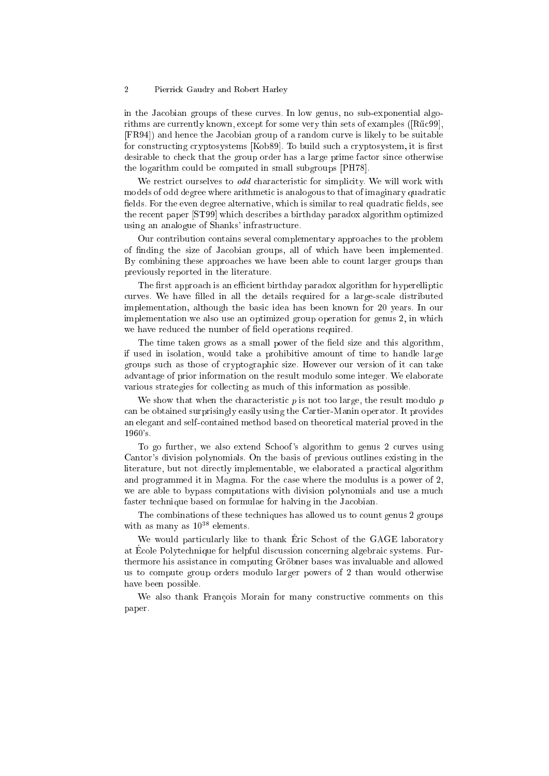#### $\overline{2}$ 2 Pierrick Gaudry and Robert Harley

in the Jacobian groups of these curves. In low genus, no sub-exponential algorithms are currently known, except for some very thin sets of examples ([Ruc99], [FR94]) and hence the Jacobian group of a random curve is likely to be suitable for constructing cryptosystems [Kob89]. To build such a cryptosystem, it is first desirable to check that the group order has a large prime factor since otherwise the logarithm could be computed in small subgroups [PH78].

We restrict ourselves to *odd* characteristic for simplicity. We will work with models of odd degree where arithmetic is analogous to that of imaginary quadratic fields. For the even degree alternative, which is similar to real quadratic fields, see the recent paper [ST99] which describes a birthday paradox algorithm optimized using an analogue of Shanks' infrastructure.

Our contribution contains several complementary approaches to the problem of nding the size of Jacobian groups, all of which have been implemented. By combining these approaches we have been able to count larger groups than previously reported in the literature.

The first approach is an efficient birthday paradox algorithm for hyperelliptic curves. We have filled in all the details required for a large-scale distributed implementation, although the basic idea has been known for 20 years. In our implementation we also use an optimized group operation for genus 2, in which we have reduced the number of field operations required.

The time taken grows as a small power of the field size and this algorithm, if used in isolation, would take a prohibitive amount of time to handle large groups such as those of cryptographic size. However our version of it can take advantage of prior information on the result modulo some integer. We elaborate various strategies for collecting as much of this information as possible.

We show that when the characteristic  $p$  is not too large, the result modulo  $p$ can be obtained surprisingly easily using the Cartier-Manin operator. It provides an elegant and self-contained method based on theoretical material proved in the 1960's.

To go further, we also extend Schoof 's algorithm to genus 2 curves using Cantor's division polynomials. On the basis of previous outlines existing in the literature, but not directly implementable, we elaborated a practical algorithm and programmed it in Magma. For the case where the modulus is a power of 2, we are able to bypass computations with division polynomials and use a much faster technique based on formulae for halving in the Jacobian.

The combinations of these techniques has allowed us to count genus 2 groups with as many as  $10^{38}$  elements.

We would particularly like to thank Eric Schost of the GAGE laboratory at Ecole Polytechnique for helpful discussion concerning algebraic systems. Furthermore his assistance in computing Gröbner bases was invaluable and allowed us to compute group orders modulo larger powers of 2 than would otherwise have been possible.

We also thank Francois Morain for many constructive comments on this paper.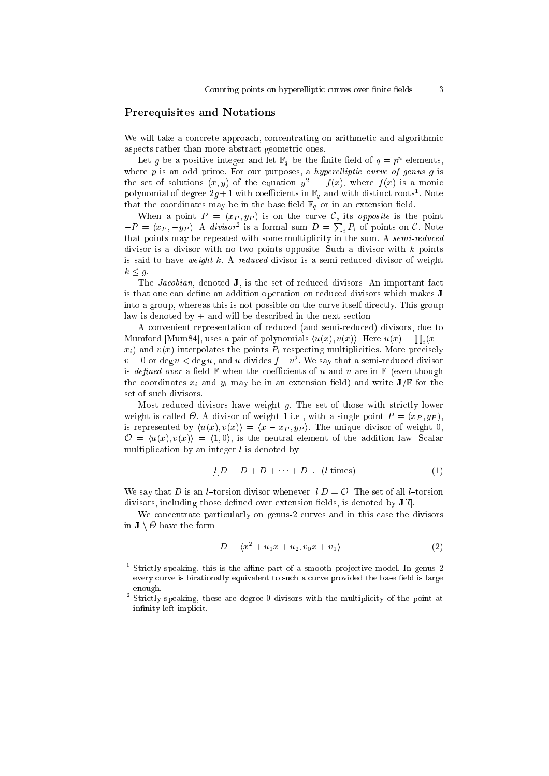#### Prerequisites and Notations

We will take a concrete approach, concentrating on arithmetic and algorithmic aspects rather than more abstract geometric ones.

Let  $g$  be a positive integer and let  $\mathbb{F}_q$  be the initie held of  $q = p$  alements, where  $p$  is an odd prime. For our purposes, a hyperelliptic curve of genus  $g$  is the set of solutions  $(x, y)$  of the equation  $y^- = f(x)$ , where  $f(x)$  is a monic polynomial of degree  $\frac{2g+1}{g+1}$  with coefficients in  $\mathbb{F}_q$  and with distinct roots". Note that the coordinates may be in the base eld Fq or in an extension eld.

When a point P = (xP ; yP ) is on the curve C, its opposite is the point  $-P = (x_P, -y_P)$ . A divisor<sup>2</sup> is a formal sum  $D = \sum_i P_i$  of points on C. Note that points may be repeated with some multiplicity in the sum. A semi-reduced divisor is a divisor with no two points opposite. Such a divisor with  $k$  points is said to have weight  $k$ . A reduced divisor is a semi-reduced divisor of weight  $k \leq g$ .

The Jacobian, denoted J, is the set of reduced divisors. An important fact is that one can define an addition operation on reduced divisors which makes **J** into a group, whereas this is not possible on the curve itself directly. This group law is denoted by  $+$  and will be described in the next section.

A convenient representation of reduced (and semi-reduced) divisors, due to Mumford [Mum84], uses a pair of polynomials  $\langle u(x), v(x) \rangle$ . Here  $u(x) = \prod_{i}(x$ xi) and v(x) interpolates the points Pi respecting multiplicities. More precisely  $v = 0$  or deg  $v <$  deg  $u$ , and  $u$  divides  $f - v$  . We say that a semi-reduced divisor is defined over a field  $\mathbb F$  when the coefficients of u and v are in  $\mathbb F$  (even though the coordinates  $\alpha_{k}$  and  $\gamma_{l}$  and  $\gamma_{l}$  be in and write  $\alpha$  and  $\gamma$  for the theory  $\alpha_{k}$ set of such divisors.

Most reduced divisors have weight g. The set of those with strictly lower weight is called a single point  $\mathcal{U}$  is a single point  $\mathcal{U}$  in the case of  $\mathcal{U}$  is a single point  $\mathcal{U}$ is represented by hu(x); v(x)i = hx xP ; yP i. The unique divisor of weight 0,  $\mathcal{C}$  . The first is the neutral element of the additional element of the addition law. Scalar law  $\mathcal{C}$ multiplication by an integer  $l$  is denoted by:

$$
[l]D = D + D + \dots + D \quad (l \text{ times}) \tag{1}
$$

We say that D is an *l*-torsion divisor whenever  $[l]D = \mathcal{O}$ . The set of all *l*-torsion divisors, including those defined over extension fields, is denoted by  $J[l]$ .

We concentrate particularly on genus-2 curves and in this case the divisors in January 1986, the form: the form: the form: the form: the form: the form: the form: the form: the form: the form: the form: the form: the form: the form: the form: the form: the form: the form: the form: the form: the f

$$
D = \langle x^2 + u_1 x + u_2, v_0 x + v_1 \rangle \tag{2}
$$

strictly speaking, this is the amne part of a smooth projective model. In genus 2 every curve is birationally equivalent to such a curve provided the base field is large enough.

<sup>2</sup> Strictly speaking, these are degree-0 divisors with the multiplicity of the point at infinity left implicit.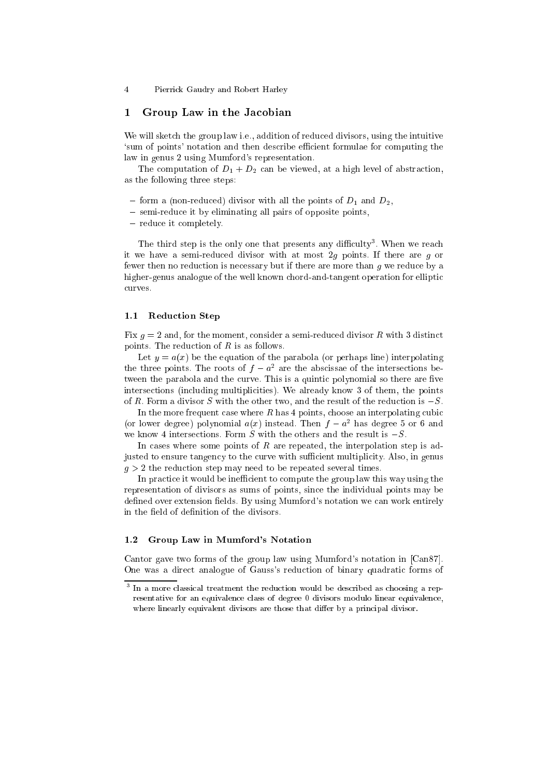## 1 Group Law in the Jacobian

We will sketch the group law i.e., addition of reduced divisors, using the intuitive 'sum of points' notation and then describe efficient formulae for computing the law in genus 2 using Mumford's representation.

The computation of  $D_1 + D_2$  can be viewed, at a high level of abstraction, as the following three steps:

- $=$  form a (non-reduced) divisor with all the points of  $D_1$  and  $D_2$ ,
- semi-reduce it by eliminating all pairs of opposite points,
- reduce it completely.

I he third step is the only one that presents any dimiculty<sup>-</sup>. When we reach it we have a semi-reduced divisor with at most  $2g$  points. If there are  $g$  or fewer then no reduction is necessary but if there are more than  $g$  we reduce by a higher-genus analogue of the well known chord-and-tangent operation for elliptic curves.

## 1.1 Reduction Step

Fix  $q = 2$  and, for the moment, consider a semi-reduced divisor R with 3 distinct points. The reduction of  $R$  is as follows.

Let  $y = a(x)$  be the equation of the parabola (or perhaps line) interpolating the three points. The roots of  $f = a^{\perp}$  are the abscissae of the intersections between the parabola and the curve. This is a quintic polynomial so there are five intersections (including multiplicities). We already know 3 of them, the points of R. Form a divisor S with the other two, and the result of the reduction is  $-S$ .

In the more frequent case where  $R$  has 4 points, choose an interpolating cubic (or lower degree) polynomial  $a(x)$  instead. Then  $f-a^-$  has degree 5 or 6 and we know 4 intersections. Form S with the others and the result is  $-S$ .

In cases where some points of  $R$  are repeated, the interpolation step is adjusted to ensure tangency to the curve with sufficient multiplicity. Also, in genus  $g > 2$  the reduction step may need to be repeated several times.

In practice it would be inefficient to compute the group law this way using the representation of divisors as sums of points, since the individual points may be defined over extension fields. By using Mumford's notation we can work entirely in the field of definition of the divisors.

#### 1.2 Group Law in Mumford's Notation

Cantor gave two forms of the group law using Mumford's notation in [Can87]. One was a direct analogue of Gauss's reduction of binary quadratic forms of

 $^\circ$  in a more classical treatment the reduction would be described as choosing a representative for an equivalence class of degree 0 divisors modulo linear equivalence, where linearly equivalent divisors are those that differ by a principal divisor.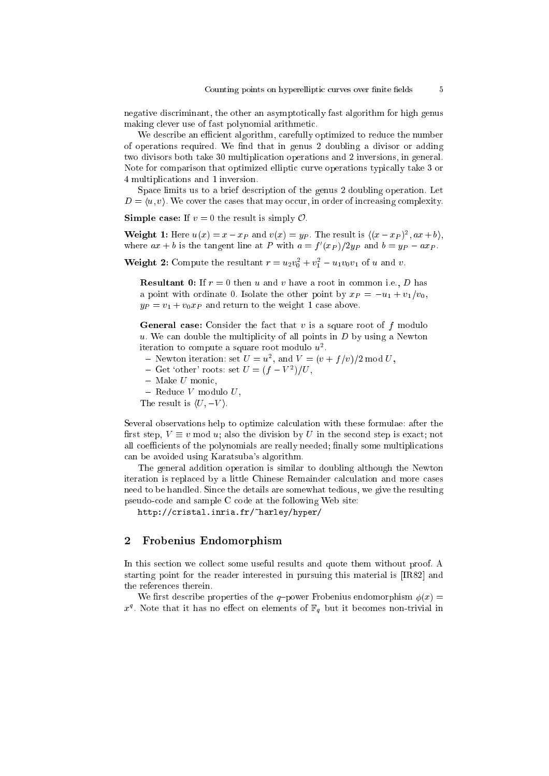negative discriminant, the other an asymptotically fast algorithm for high genus making clever use of fast polynomial arithmetic.

We describe an efficient algorithm, carefully optimized to reduce the number of operations required. We find that in genus 2 doubling a divisor or adding two divisors both take 30 multiplication operations and 2 inversions, in general. Note for comparison that optimized elliptic curve operations typically take 3 or 4 multiplications and 1 inversion.

Space limits us to a brief description of the genus 2 doubling operation. Let  $D = \langle u, v \rangle$ . We cover the cases that may occur, in order of increasing complexity.

**Simple case:** If  $v = 0$  the result is simply  $\mathcal{O}$ .

**weight 1:** Here  $u(x) = x - xp$  and  $v(x) = yp$ . The result is  $((x - xp)^2, ax + b)$ , where  $ax + b$  is the tangent line at P with  $a = f(x_P)/2yp$  and  $b = yp - ax_P$ .

**Weight 2:** Compute the resultant  $r = u_2v_0^2 + v_1^2 - u_1v_0v_1$  or u and v.

**Resultant 0:** If  $r = 0$  then u and v have a root in common i.e., D has a point with ordinate of the other point by the other point  $\mu$  $yI = 1 + VI$ 

**General case:** Consider the fact that v is a square root of f modulo u. We can double the multiplicity of all points in  $D$  by using a Newton  $\mu$  iteration to compute a square root modulo  $u^2$ .

- $=$  Newton iteration: set  $U = u$ , and  $V = (v + f/v)/2$  mod U,
- ${\sf -~Get}$  'other' roots: set  $U = (f V^2)/U$ ,
- $-$  Make  $U$  monic,

 $-$  Reduce V modulo U,

The result is  $\langle U, -V \rangle$ .

Several observations help to optimize calculation with these formulae: after the first step,  $V \equiv v \mod u$ ; also the division by U in the second step is exact; not all coefficients of the polynomials are really needed; finally some multiplications can be avoided using Karatsuba's algorithm.

The general addition operation is similar to doubling although the Newton iteration is replaced by a little Chinese Remainder calculation and more cases need to be handled. Since the details are somewhat tedious, we give the resulting pseudo-code and sample C code at the following Web site:

http://cristal.inria.fr/~harley/hyper/

#### $\overline{2}$ 2 Frobenius Endomorphism

In this section we collect some useful results and quote them without proof. A starting point for the reader interested in pursuing this material is [IR82] and the references therein.

We first describe properties of the q-power Frobenius endomorphism  $\phi(x)$  =  $x_3$ . Note that it has no effect on elements of  $\mathbb{F}_q$  but it becomes non-trivial in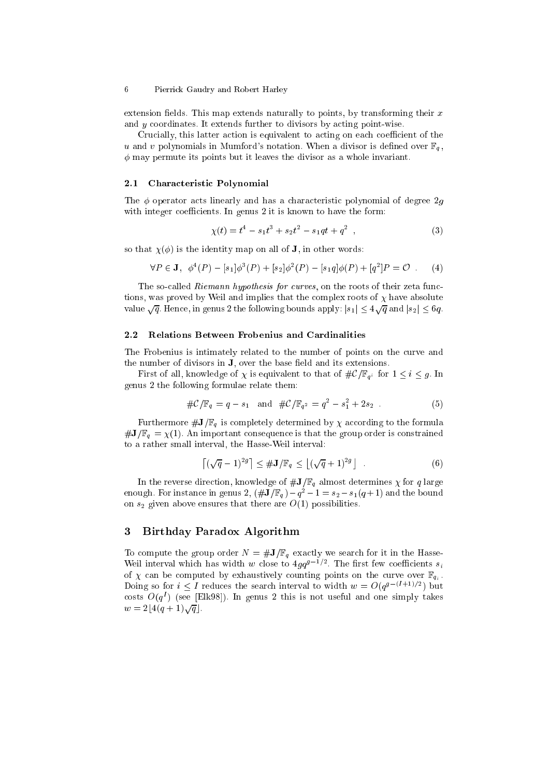extension fields. This map extends naturally to points, by transforming their  $x$ and y coordinates. It extends further to divisors by acting point-wise.

Crucially, this latter action is equivalent to acting on each coefficient of the u and v polynomials in Mumford's notation. When a divisor is defined over  $\mathbb{F}_q$ ,  $\phi$  may permute its points but it leaves the divisor as a whole invariant.

#### 2.1 Characteristic Polynomial

The  $\phi$  operator acts linearly and has a characteristic polynomial of degree 2g with integer coefficients. In genus  $2$  it is known to have the form:

$$
\chi(t) = t^4 - s_1 t^3 + s_2 t^2 - s_1 qt + q^2 \tag{3}
$$

so that  $\chi(\phi)$  is the identity map on all of **J**, in other words:

$$
\forall P \in \mathbf{J}, \ \phi^4(P) - [s_1] \phi^3(P) + [s_2] \phi^2(P) - [s_1 q] \phi(P) + [q^2] P = \mathcal{O} \tag{4}
$$

The so-called *Riemann hypothesis for curves*, on the roots of their zeta functions, was proved by Weil and implies that the complex roots of  $\chi$  have absolute value  $\sqrt{q}$ . Hence, in genus 2 the following bounds apply:  $|s_1| \leq 4\sqrt{q}$  and  $|s_2| \leq 6q$ .

#### Relations Between Frobenius and Cardinalities 2.2

The Frobenius is intimately related to the number of points on the curve and the number of divisors in  $J$ , over the base field and its extensions.

First of all, knowledge of  $\chi$  is equivalent to that of  $\#\mathcal{C}/\mathbb{F}_{q}$  for  $1 \leq i \leq g$ . In genus 2 the following formulae relate them:

$$
\#\mathcal{C}/\mathbb{F}_q = q - s_1 \text{ and } \#\mathcal{C}/\mathbb{F}_{q^2} = q^2 - s_1^2 + 2s_2 .
$$
 (5)

Furthermore  $\mathbf{F} = \mathbf{F} \mathbf{F}$  is completely determined by  $\mathbf{A}$  $H = H - H$  is the group order is the group of the group order is that the group of the group order is constrained in the group of the group of the group of the group of the group of the group of the group of the group of the to a rather small interval, the Hasse-Weil interval:

$$
\left[ (\sqrt{q} - 1)^{2g} \right] \leq \# \mathbf{J} / \mathbb{F}_q \leq \left[ (\sqrt{q} + 1)^{2g} \right] \tag{6}
$$

In the reverse direction, must be required  $\mu$  =  $\mu$  almost determines  $\mu$  and  $\mu$  and  $\mu$ enough. For instance in genus 2,  $(\#J/\mathbb{F}_q )=q^--1\equiv s_2-s_1(q+1)$  and the bound on  $s_2$  given above ensures that there are  $O(1)$  possibilities.

#### 3 Birthday Paradox Algorithm 3

To compute the group order N = #J=Fq exactly we search for it in the Hasse-Well interval which has width w close to  $4gq^3$   $\rightarrow$  . The first few coefficients  $s_i$ of  $\Lambda$  can be computed by exhaustively counting points on the curve over Form  $q_i$  . Doing so for  $i \leq 1$  reduces the search interval to width  $w = O(q^{j+1-j+1})$  but  $\cos$ ts  $O(q^*)$  (see [EIK98]). In genus 2 this is not useful and one simply takes  $w = 2|4(q + 1), \sqrt{q}|.$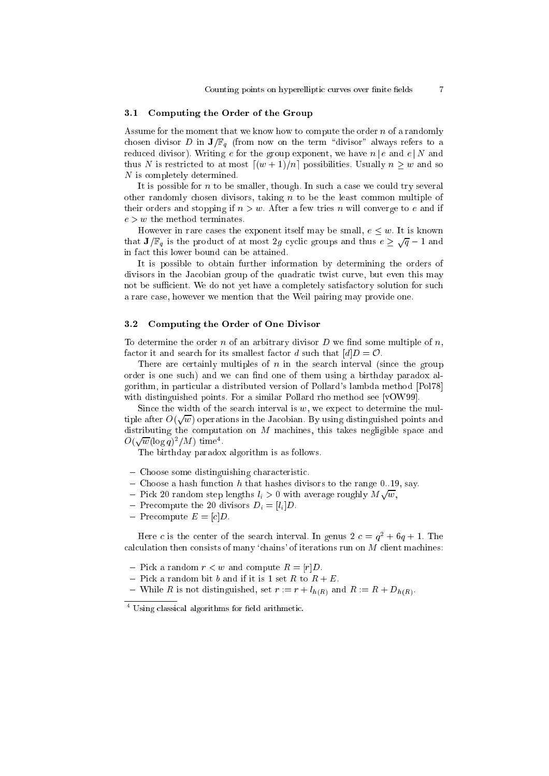#### 3.1 Computing the Order of the Group

Assume for the moment that we know how to compute the order  $n$  of a randomly chosen divisor D in J=Fq (from now on the term \divisor" always refers to <sup>a</sup> reduced divisor). Writing e for the group exponent, we have  $n | e$  and  $e | N$  and thus N is restricted to at most  $\lfloor (w + 1)/n \rfloor$  possibilities. Usually  $n \geq w$  and so N is completely determined.

It is possible for  $n$  to be smaller, though. In such a case we could try several other randomly chosen divisors, taking  $n$  to be the least common multiple of their orders and stopping if  $n > w$ . After a few tries n will converge to e and if  $e > w$  the method terminates.

However in rare cases the exponent itself may be small,  $e \leq w$ . It is known that  $J/F_q$  is the product of at most 2g cyclic groups and thus  $e > \sqrt{q} - 1$  and in fact this lower bound can be attained.

It is possible to obtain further information by determining the orders of divisors in the Jacobian group of the quadratic twist curve, but even this may not be sufficient. We do not yet have a completely satisfactory solution for such a rare case, however we mention that the Weil pairing may provide one.

#### $3.2$ 3.2 Computing the Order of One Divisor

To determine the order n of an arbitrary divisor  $D$  we find some multiple of  $n$ , factor it and search for its smallest factor d such that  $[d]D = \mathcal{O}$ .

There are certainly multiples of  $n$  in the search interval (since the group order is one such) and we can find one of them using a birthday paradox algorithm, in particular a distributed version of Pollard's lambda method [Pol78] with distinguished points. For a similar Pollard rho method see [vOW99].

Since the width of the search interval is  $w$ , we expect to determine the multiple after  $O(\sqrt{w})$  operations in the Jacobian. By using distinguished points and distributing the computation on  $M$  machines, this takes negligible space and  $O(\sqrt{w}(\log q)^2/M)$  time<sup>4</sup>.

The birthday paradox algorithm is as follows.

- { Choose some distinguishing characteristic.
- ${\rm -}$  Choose a hash function h that hashes divisors to the range 0..19, say.
- Pick 20 random step lengths  $l_i > 0$  with average roughly  $M\sqrt{w}$ ,
- ${\color{red} 1}$  divisors Di  ${\color{red} 0}$  divisors Di  ${\color{red} 0}$
- ${\rm -}$  Precompute  $E = [c]D$ .

Here c is the center of the search interval. In genus  $2 c = q^2 + 6q + 1$ . The calculation then consists of many 'chains' of iterations run on  $M$  client machines:

- ${\rm -}$  Pick a random  $r < w$  and compute  $R = [r]D$ .
- ${\sf -}$  Pick a random bit b and if it is 1 set R to  $R+E$ .
- While R is not distinguished, set  $r := r + l_{h(R)}$  and  $R := R + D_{h(R)}$ .

 $\,$   $\,$  Using classical algorithms for field arithmetic.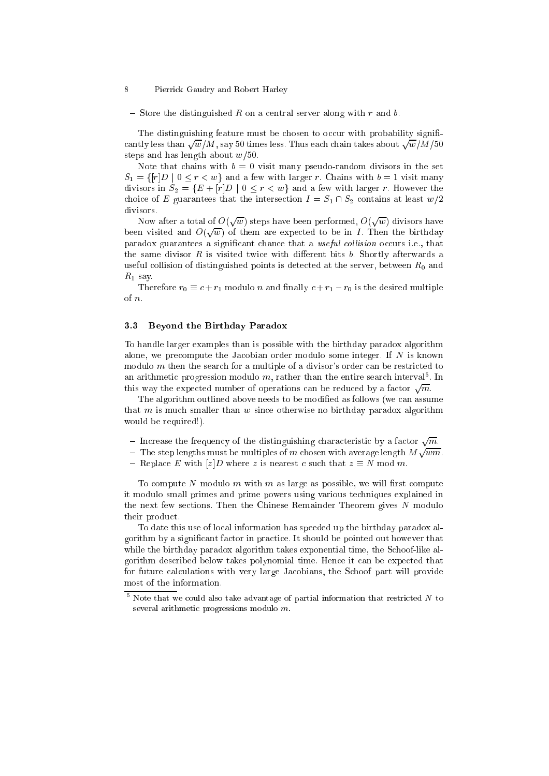${\bf -}$  Store the distinguished R on a central server along with r and b.

The distinguishing feature must be chosen to occur with probability significantly less than  $\sqrt{w}/M$ , say 50 times less. Thus each chain takes about  $\sqrt{w}/M/50$ steps and has length about  $w/50$ .

Note that chains with  $b = 0$  visit many pseudo-random divisors in the set  $S_1 = \{ [r]D \mid 0 \le r < w \}$  and a few with larger r. Chains with  $b = 1$  visit many divisors in  $S_2 = \{E + [r]D \mid 0 \le r < w\}$  and a few with larger r. However the choice of E guarantees that the intersection  $I = S_1 \cap S_2$  contains at least  $w/2$ divisors.

Now after a total of  $O(\sqrt{w})$  steps have been performed,  $O(\sqrt{w})$  divisors have been visited and  $O(\sqrt{w})$  of them are expected to be in I. Then the birthday paradox guarantees a significant chance that a *useful collision* occurs i.e., that the same divisor  $R$  is visited twice with different bits  $b$ . Shortly afterwards a useful collision of distinguished points is detected at the server, between  $R_0$  and  $R_1$  say.

Therefore  $r_0 \equiv c + r_1$  modulo n and finally  $c + r_1 - r_0$  is the desired multiple of n.

#### 3.3 Beyond the Birthday Paradox

To handle larger examples than is possible with the birthday paradox algorithm alone, we precompute the Jacobian order modulo some integer. If  $N$  is known modulo  $m$  then the search for a multiple of a divisor's order can be restricted to an arithmetic progression modulo  $m$ , rather than the entire search interval". In this way the expected number of operations can be reduced by a factor  $\sqrt{m}$ .

The algorithm outlined above needs to be modied as follows (we can assume that m is much smaller than w since otherwise no birthday paradox algorithm would be required!).

- Increase the frequency of the distinguishing characteristic by a factor  $\sqrt{m}$ .
- ${\rm -}$  The step lengths must be multiples of m chosen with average length  $M\sqrt{wm}$ .
- Replace E with  $[z]$ D where z is nearest c such that  $z \equiv N \mod m$ .

To compute N modulo  $m$  with  $m$  as large as possible, we will first compute it modulo small primes and prime powers using various techniques explained in the next few sections. Then the Chinese Remainder Theorem gives N modulo their product.

To date this use of local information has speeded up the birthday paradox algorithm by a signicant factor in practice. It should be pointed out however that while the birthday paradox algorithm takes exponential time, the Schoof-like algorithm described below takes polynomial time. Hence it can be expected that for future calculations with very large Jacobians, the Schoof part will provide most of the information.

 $^\circ$  Note that we could also take advantage of partial information that restricted *I*V to several arithmetic progressions modulo m.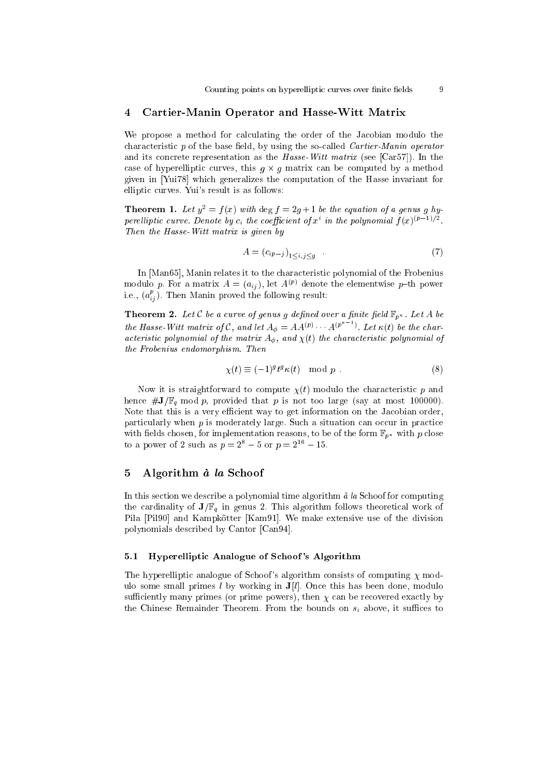#### 4 Cartier-Manin Operator and Hasse-Witt Matrix

We propose a method for calculating the order of the Jacobian modulo the characteristic  $p$  of the base field, by using the so-called *Cartier-Manin operator* and its concrete representation as the *Hasse-Witt matrix* (see [Car57]). In the case of hyperelliptic curves, this game computed by a method of the computed by a method of the computed by a m given in [Yui78] which generalizes the computation of the Hasse invariant for elliptic curves. Yui's result is as follows:

**Theorem 1.** Let  $y^2 = f(x)$  with  $\deg f = 2g + 1$  be the equation of a genus g hyperetupic curve. Denote by  $c_i$  the coefficient of x  $\iota$ n the polynomial  $f(x)^{p_1-p_2-p_3-p_4}$ . Then the Hasse-Witt matrix is given by

$$
A = (c_{ip-j})_{1 \le i,j \le g} \tag{7}
$$

In [Man65], Manin relates it to the characteristic polynomial of the Frobenius modulo p. For a matrix  $A = (a_{ij})$ , let  $A^{\scriptscriptstyle{(p)}}$  denote the elementwise p—th power i.e.,  $(a_{ii}^r)$ . Then Manin proved the following result:

**Theorem 2.** Let C be a curve of genus g defined over a finite field  $\mathbb{F}_{p^n}$ . Let A be the Hasse-Witt matrix of C, and let  $A_{\phi} = AA^{(p)} \cdots A^{(p^{n-1})}$ . Let  $\kappa(t)$  be the characteristic polynomial of the matrix all  $\alpha$  and  $\alpha$  and  $\alpha$  and characteristic polynomial of the Frobenius endomorphism. Then

$$
\chi(t) \equiv (-1)^g t^g \kappa(t) \mod p \tag{8}
$$

Now it is straightforward to compute  $\chi(t)$  modulo the characteristic p and hence #J=Fq mod p, provided that <sup>p</sup> is not too large (say at most 100000). Note that this is a very efficient way to get information on the Jacobian order, particularly when p is moderately large. Such a situation can occur in practice with fields chosen, for implementation reasons, to be of the form  $\mathbb{F}_{n^m}$  with p close to a power of 2 such as  $p = 2^8 - 5$  or  $p = 2^{16} - 15$ .

## 5 Algorithm  $\dot{a}$  la Schoof

 $\sim$ 

In this section we describe a polynomial time algorithm  $\dot{a}$  la Schoof for computing the cardinality of J=Fq in genus 2. This algorithm follows theoretical work of Pila [Pil90] and Kampkötter [Kam91]. We make extensive use of the division polynomials described by Cantor [Can94].

#### 5.1 Hyperelliptic Analogue of Schoof 's Algorithm

The hyperelliptic analogue of Schoof's algorithm consists of computing  $\chi$  modulo some small primes  $l$  by working in  $J[l]$ . Once this has been done, modulo sufficiently many primes (or prime powers), then  $\chi$  can be recovered exactly by the Chinese Remainder Theorem. From the bounds on since  $\mu$  above, it such a bound since to such a bounds on since  $\mu$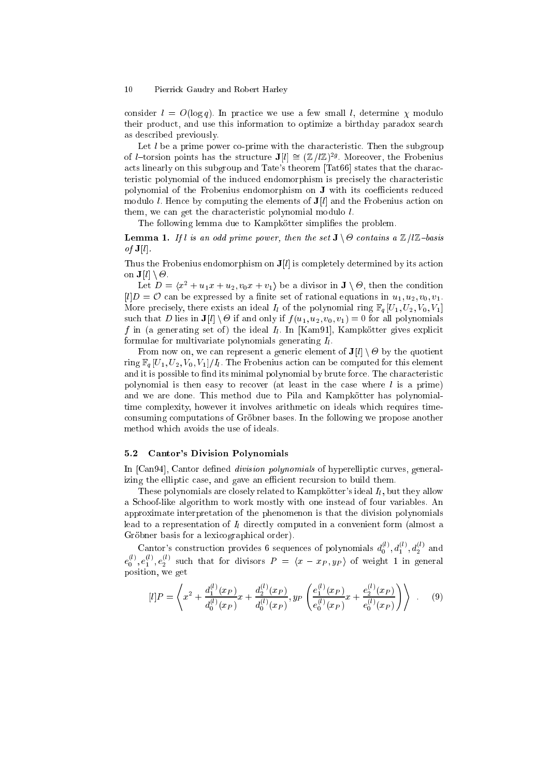consider  $l = O(\log q)$ . In practice we use a few small l, determine  $\chi$  modulo their product, and use this information to optimize a birthday paradox search as described previously.

Let  $l$  be a prime power co-prime with the characteristic. Then the subgroup of  $t$ -torsion points has the structure  $J[t] = (\mathbb{Z}/t\mathbb{Z})^{-s}$ . Moreover, the Frobenius acts linearly on this subgroup and Tate's theorem [Tat66] states that the characteristic polynomial of the induced endomorphism is precisely the characteristic polynomial of the Frobenius endomorphism on  $J$  with its coefficients reduced modulo l. Hence by computing the elements of  $J[l]$  and the Frobenius action on them, we can get the characteristic polynomial modulo l.

The following lemma due to Kampkötter simplifies the problem.

Lemma 1. If l is an odd prime power, then the set J <sup>n</sup> - contains <sup>a</sup> Z=lZ{basis  $-1$ .  $-1$ .

Thus the Frobenius endomorphism on  $J[l]$  is completely determined by its action on J[l] <sup>n</sup> -.

Let  $D = \langle x^2 + u_1x + u_2, v_0x + v_1 \rangle$  be a divisor in  $J \setminus \mathcal{O}$ , then the condition  $[l]D = \mathcal{O}$  can be expressed by a finite set of rational equations in  $u_1, u_2, v_0, v_1$ . More precisely, there exists and ideal Il of the polynomial ring Fq [U1; V2; V0; V1];  $\mu$ such that  $\Box$  if  $\Box$  if  $\Box$  if  $\Box$  if  $\Box$  if  $\Box$  if  $\Box$  if  $\Box$  if  $\Box$  if  $\Box$  if  $\Box$  if  $\Box$  if  $\Box$  if  $\Box$  $f$  in (a generating set of) the ideal Il . In [Camero II] controlled the gives explicit formulae for multivariate polynomials generating Il .

From now on, we can represent a generic element of J[l] <sup>n</sup> - by the quotient ring Fq [V]; V<sub>2</sub>; V0; V<sub>1</sub>] / The Frobenius action can be computed for the form can be computed for and it is possible to find its minimal polynomial by brute force. The characteristic polynomial is then easy to recover (at least in the case where  $l$  is a prime) and we are done. This method due to Pila and Kampkötter has polynomialtime complexity, however it involves arithmetic on ideals which requires timeconsuming computations of Gröbner bases. In the following we propose another method which avoids the use of ideals.

#### 5.2 Cantor's Division Polynomials

In [Can94], Cantor defined *division polynomials* of hyperelliptic curves, generalizing the elliptic case, and gave an efficient recursion to build them.

These polynomials are closely related to Kampkötter's ideal  $I_l$ , but they allow a Schoof-like algorithm to work mostly with one instead of four variables. An approximate interpretation of the phenomenon is that the division polynomials lead to a representation of Il directly computed in <sup>a</sup> convenient form (almost <sup>a</sup> Gröbner basis for a lexicographical order).

Cantor's construction provides 6 sequences of polynomials  $d_0^{(i)}$ ,  $d_1^{(i)}$ ,  $d_2^{(i)}$  and  $e_0^{\gamma\gamma}, e_1^{\gamma\gamma}, e_2^{\gamma\gamma}$  such that for divisors  $P = \langle x - x_P, y_P \rangle$  of weight 1 in general position, we get

$$
[l]P = \left\langle x^2 + \frac{d_1^{(l)}(x_P)}{d_0^{(l)}(x_P)}x + \frac{d_2^{(l)}(x_P)}{d_0^{(l)}(x_P)}, y_P\left(\frac{e_1^{(l)}(x_P)}{e_0^{(l)}(x_P)}x + \frac{e_2^{(l)}(x_P)}{e_0^{(l)}(x_P)}\right) \right\rangle \tag{9}
$$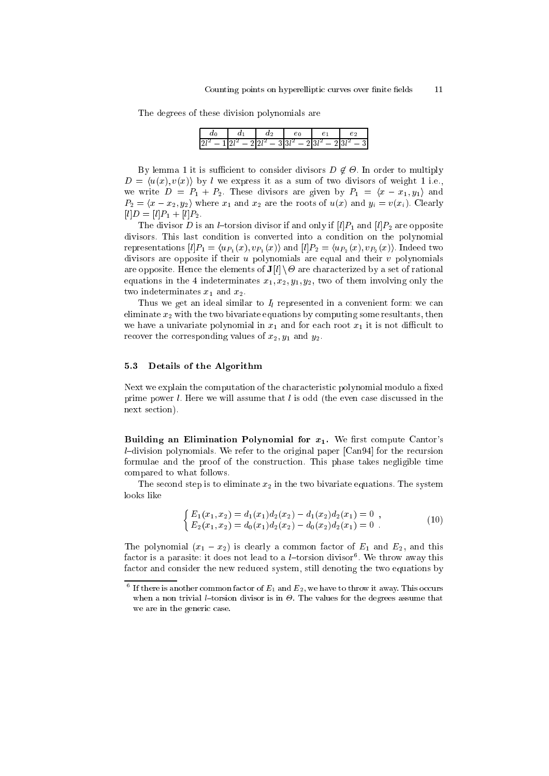The degrees of these division polynomials are

| $\scriptstyle{a_0}$ | $\bm{u}$                                | εo |  |
|---------------------|-----------------------------------------|----|--|
| 712                 | $1 2l^2-2 2l^2-3 3l^2-2 3l^2-2 3l^2-3 $ |    |  |

By lemma 1 it is sucient to consider divisors D <sup>62</sup> -. In order to multiply  $D = \langle u(x), v(x) \rangle$  by l we express it as a sum of two divisors of weight 1 i.e., we write  $D = P_1 + P_2$ . These divisors are given by  $P_1 = \langle x - x_1, y_1 \rangle$  and  $P_2 = \langle x - x_2, y_2 \rangle$  where  $x_1$  and  $x_2$  are the roots of  $u(x)$  and  $y_i = v(x_i)$ . Clearly  $[l]D = [l]P_1 + [l]P_2.$ 

The divisor D is an *l*-torsion divisor if and only if  $[l]P_1$  and  $[l]P_2$  are opposite divisors. This last condition is converted into a condition on the polynomial representations  $[l]P_1 = \langle u_{P_1}(x), v_{P_1}(x)\rangle$  and  $[l]P_2 = \langle u_{P_2}(x), v_{P_2}(x)\rangle$ . Indeed two divisors are opposite if their  $u$  polynomials are equal and their  $v$  polynomials are opposite modern the elements of J[] n - are characterized by a set of rational equations in the 4 indeterminates  $x_1, x_2, y_1, y_2$ , two of them involving only the two indeterminates  $x_1$  and  $x_2$ .

Thus we get an ideal similar to Il represented in <sup>a</sup> convenient form: we can eliminate  $x_2$  with the two bivariate equations by computing some resultants, then we have a univariate polynomial in  $x_1$  and for each root  $x_1$  it is not difficult to recover the corresponding values of  $x_2, y_1$  and  $y_2$ .

#### 5.3 Details of the Algorithm

Next we explain the computation of the characteristic polynomial modulo a fixed prime power  $l$ . Here we will assume that  $l$  is odd (the even case discussed in the next section).

Building an Elimination Polynomial for  $x_1$ . We first compute Cantor's  $l$ -division polynomials. We refer to the original paper [Can94] for the recursion formulae and the proof of the construction. This phase takes negligible time compared to what follows.

The second step is to eliminate  $x_2$  in the two bivariate equations. The system looks like

$$
\begin{cases}\nE_1(x_1, x_2) = d_1(x_1) d_2(x_2) - d_1(x_2) d_2(x_1) = 0, \\
E_2(x_1, x_2) = d_0(x_1) d_2(x_2) - d_0(x_2) d_2(x_1) = 0.\n\end{cases}
$$
\n(10)

The polynomial  $(x_1 - x_2)$  is clearly a common factor of  $E_1$  and  $E_2$ , and this factor is a parasite: it does not lead to a  $t=$ torsion divisor $\tau$  . We throw away this factor and consider the new reduced system, still denoting the two equations by

 $11$ 

There is another common factor of  $E_1$  and  $E_2$ , we have to throw it away. This occurs when a non-trivial lattor is in  $\mathbb{R}^n$  . The values assume that degrees assume that degrees assume that we are in the generic case.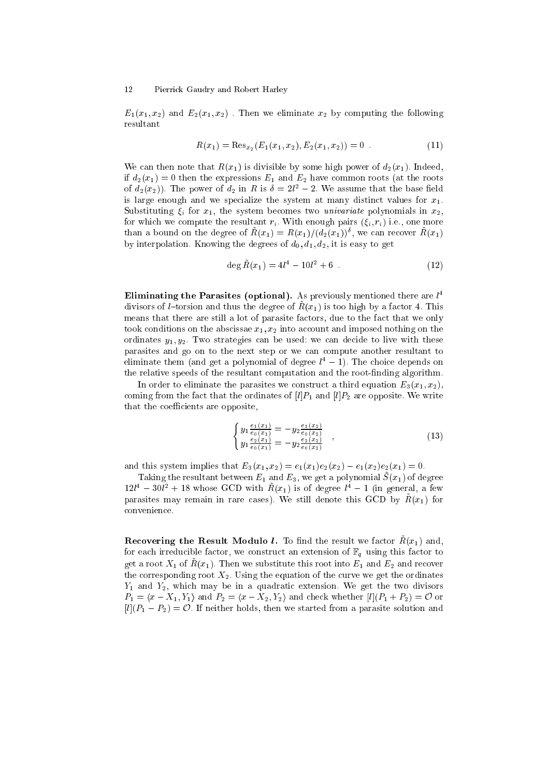$E_1(x_1, x_2)$  and  $E_2(x_1, x_2)$ . Then we eliminate  $x_2$  by computing the following resultant

$$
R(x_1) = \text{Res}_{x_2}(E_1(x_1, x_2), E_2(x_1, x_2)) = 0
$$
 (11)

We can then note that  $R(x_1)$  is divisible by some high power of  $d_2(x_1)$ . Indeed, if  $d_2(x_1) = 0$  then the expressions  $E_1$  and  $E_2$  have common roots (at the roots of  $a_2(x_2)$ ). The power of  $a_2$  in R is  $\sigma = z\tau - z$ , we assume that the base neig is large enough and we specialize the system at many distinct values for  $x_1$ . Substituting i for x1, the system becomes two univariate polynomials in x2, for which we compute the resultant ri . With enough pairs (i ; ri) i.e., one more than a bound on the degree of  $R(x_1) = R(x_1)/(a_2(x_1))$ , we can recover  $R(x_1)$ by interpolation. Knowing the degrees of  $d_0, d_1, d_2$ , it is easy to get

$$
\deg \tilde{R}(x_1) = 4l^4 - 10l^2 + 6 \tag{12}
$$

**Eliminating the Parasites (optional).** As previously mentioned there are  $t^+$ divisors of *l*-torsion and thus the degree of  $R(x_1)$  is too high by a factor 4. This means that there are still a lot of parasite factors, due to the fact that we only took conditions on the abscissae  $x_1, x_2$  into account and imposed nothing on the ordinates  $y_1, y_2$ . Two strategies can be used: we can decide to live with these parasites and go on to the next step or we can compute another resultant to eliminate them (and get a polynomial of degree  $\iota^- = 1$ ). The choice depends on the relative speeds of the resultant computation and the root-finding algorithm.

In order to eliminate the parasites we construct a third equation  $E_3(x_1, x_2)$ , coming from the fact that the ordinates of  $[l]P_1$  and  $[l]P_2$  are opposite. We write that the coefficients are opposite,

$$
\begin{cases} y_1 \frac{e_1(x_1)}{e_0(x_1)} = -y_2 \frac{e_1(x_2)}{e_0(x_2)}\\ y_1 \frac{e_2(x_1)}{e_0(x_1)} = -y_2 \frac{e_2(x_2)}{e_0(x_2)} \end{cases},
$$
\n(13)

and this system implies that  $E_3(x_1, x_2) = e_1(x_1)e_2(x_2) - e_1(x_2)e_2(x_1) = 0.$ 

Taking the resultant between  $E_1$  and  $E_3$ , we get a polynomial  $\tilde{S}(x_1)$  of degree  $12l^2 - 30l^2 + 18$  whose GCD with  $R(x_1)$  is of degree  $l^2 - 1$  (in general, a few parasites may remain in rare cases). We still denote this GCD by  $\tilde{R}(x_1)$  for convenience.

**Recovering the Result Modulo** *l*. To find the result we factor  $\tilde{R}(x_1)$  and, for each irreducible factor, we construct an extension of Fq using this factor to get a root  $X_1$  of  $\tilde{R}(x_1)$ . Then we substitute this root into  $E_1$  and  $E_2$  and recover the corresponding root  $X_2$ . Using the equation of the curve we get the ordinates  $Y_1$  and  $Y_2$ , which may be in a quadratic extension. We get the two divisors  $P_1 = \langle x - X_1, Y_1 \rangle$  and  $P_2 = \langle x - X_2, Y_2 \rangle$  and check whether  $[l](P_1 + P_2) = \mathcal{O}$  or  $[l](P_1 - P_2) = \mathcal{O}$ . If neither holds, then we started from a parasite solution and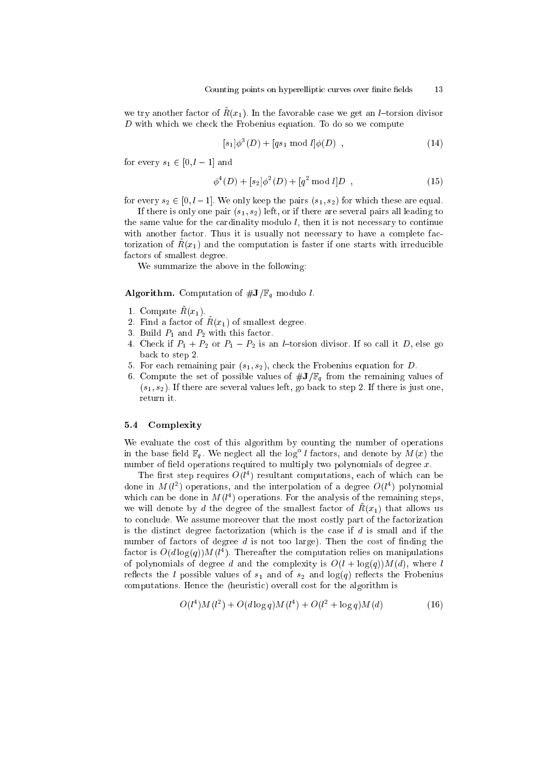we try amounce factor of  $R(x)$ . In the favorable case we get an lation divisor D with which we check the Frobenius equation. To do so we compute

$$
[s_1]\phi^3(D) + [qs_1 \bmod l]\phi(D) , \qquad (14)
$$

for every  $s_1 \in [0, l - 1]$  and

$$
\phi^4(D) + [s_2]\phi^2(D) + [q^2 \bmod l]D , \qquad (15)
$$

for every  $s_2 \in [0, l-1]$ . We only keep the pairs  $(s_1, s_2)$  for which these are equal.

If there is only one pair  $(s_1, s_2)$  left, or if there are several pairs all leading to the same value for the cardinality modulo  $l$ , then it is not necessary to continue with another factor. Thus it is usually not necessary to have a complete factorization of  $R(x_1)$  and the computation is faster if one starts with irreducible factors of smallest degree.

We summarize the above in the following:

Algorithm. Computation of #J=Fq modulo l.

- 1. Compute  $R(x_1)$ .
- $\omega$ . Find a factor of  $R(x)$  or smallest degree.
- 3. Build  $P_1$  and  $P_2$  with this factor.
- 4. Check if  $P_1 + P_2$  or  $P_1 P_2$  is an *l*-torsion divisor. If so call it D, else go back to step 2.
- 5. For each remaining pair  $(s_1, s_2)$ , check the Frobenius equation for D.
- 6. Compute the set of possible values of #J=Fq from the remaining values of  $(s_1, s_2)$ . If there are several values left, go back to step 2. If there is just one, return it.

#### 5.4 Complexity

We evaluate the cost of this algorithm by counting the number of operations in the base field  $\mathbb{F}_q$ . We neglect all the log thactors, and denote by  $M\left(x\right)$  the number of field operations required to multiply two polynomials of degree  $x$ .

The rst step requires O(l <sup>4</sup> ) resultant computations, each of which can be done in  $M$  ( $\ell$ ) operations, and the interpolation of a degree  $O(\ell^*)$  polynomial which can be done in  $M$  ( $\ell$  ) operations. For the analysis of the remaining steps, we will denote by d the degree of the smallest factor of  $R(x_1)$  that allows us to conclude. We assume moreover that the most costly part of the factorization is the distinct degree factorization (which is the case if  $d$  is small and if the number of factors of degree  $d$  is not too large). Then the cost of finding the ractor is  $O(a \log(q))$  *M* (*i*  $\cdot$  ). Thereafter the computation relies on manipulations of polynomials of degree d and the complexity is  $O(l + \log(q))M(d)$ , where l reflects the l possible values of  $s_1$  and of  $s_2$  and  $log(q)$  reflects the Frobenius computations. Hence the (heuristic) overall cost for the algorithm is

$$
O(l^4)M(l^2) + O(d \log q)M(l^4) + O(l^2 + \log q)M(d)
$$
 (16)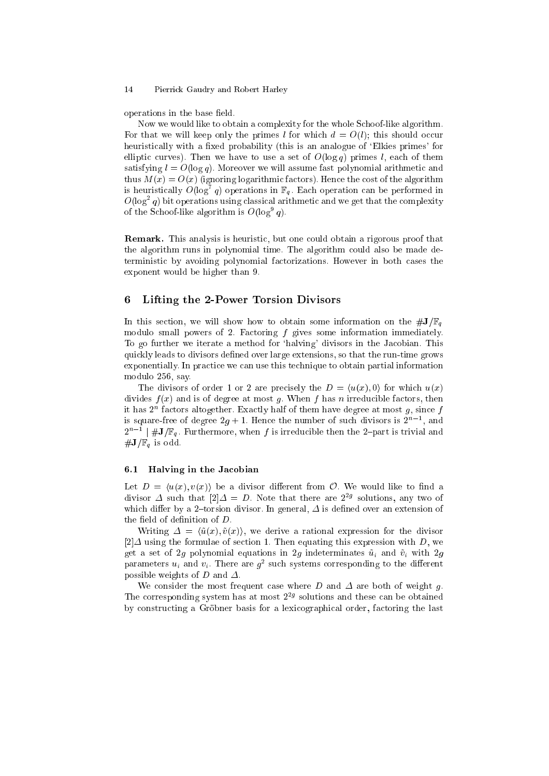operations in the base field.

Now we would like to obtain a complexity for the whole Schoof-like algorithm. For that we will keep only the primes l for which  $d = O(l)$ ; this should occur heuristically with a fixed probability (this is an analogue of 'Elkies primes' for elliptic curves). Then we have to use a set of  $O(\log q)$  primes l, each of them satisfying  $l = O(\log q)$ . Moreover we will assume fast polynomial arithmetic and thus  $M(x) = O(x)$  (ignoring logarithmic factors). Hence the cost of the algorithm is heuristically  $O(\log^2 q)$  operations in  $\mathbb{F}_q$ . Each operation can be performed in  $O(\log^2 q)$  bit operations using classical arithmetic and we get that the complexity of the Schoof-like algorithm is  $U(\log^+q)$ .

Remark. This analysis is heuristic, but one could obtain a rigorous proof that the algorithm runs in polynomial time. The algorithm could also be made deterministic by avoiding polynomial factorizations. However in both cases the exponent would be higher than 9.

#### 6 Lifting the 2-Power Torsion Divisors

In this section, we will show how to obtain some information, we will show that  $\mathbf{H}=\mathbf{I}+\mathbf{Q}$ modulo small powers of 2. Factoring  $f$  gives some information immediately. To go further we iterate a method for `halving' divisors in the Jacobian. This quickly leads to divisors defined over large extensions, so that the run-time grows exponentially. In practice we can use this technique to obtain partial information modulo 256, say.

The divisors of order 1 or 2 are precisely the  $D = \langle u(x), 0 \rangle$  for which  $u(x)$ divides  $f(x)$  and is of degree at most g. When f has n irreducible factors, then it has  $2^\circ$  factors altogether. Exactly half of them have degree at most  $q,$  since  $f$ is square-free of degree  $2g + 1$ . Hence the number of such divisors is  $2^{n+1}$ , and  $2^{n-1}$  |  $\#$ J /  $\mathbb{F}_q$  . Furthermore, when f is irreducible then the 2-part is trivial and  $H = f = H$  is odd.

#### 6.1 Halving in the Jacobian

Let  $D = \langle u(x), v(x) \rangle$  be a divisor different from  $\mathcal{O}$ . We would like to find a divisor  $\Delta$  such that  $|2|\Delta| = D$ . Note that there are  $2^{-g}$  solutions, any two of which differ by a 2-torsion divisor. In general,  $\Delta$  is defined over an extension of the field of definition of  $D$ .

Writing  $\Delta = \langle \tilde{u}(x), \tilde{v}(x) \rangle$ , we derive a rational expression for the divisor  $[2]\Delta$  using the formulae of section 1. Then equating this expression with D, we get a set of 2g polynomial equations in 2g polynomial equations in 2g index in 2g index in 2g index in 2g index in parameters  $u_i$  and  $v_i$ . There are  $g$  -such systems corresponding to the different possible weights of D and  $\Delta$ .

We consider the most frequent case where D and  $\Delta$  are both of weight g. I he corresponding system has at most  $2^{-g}$  solutions and these can be obtained by constructing a Grobner basis for a lexicographical order, factoring the last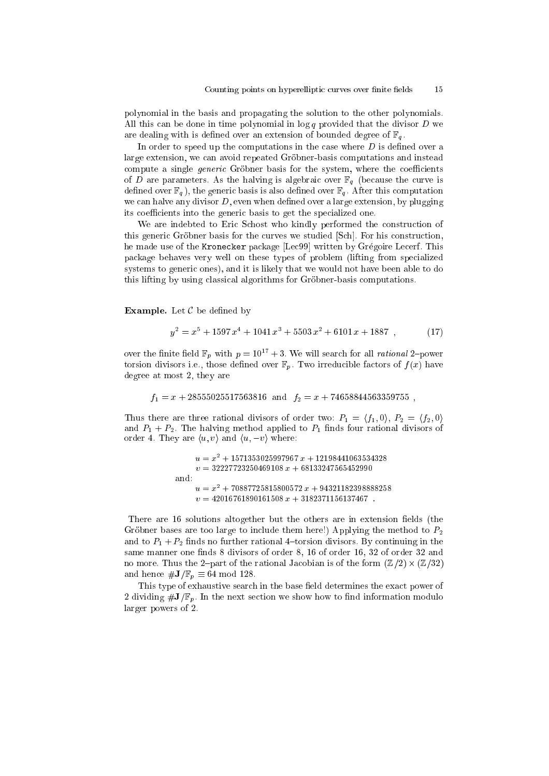polynomial in the basis and propagating the solution to the other polynomials. All this can be done in time polynomial in  $\log q$  provided that the divisor D we are dealing with is defined over an extension of bounded degree of an equal

In order to speed up the computations in the case where  $D$  is defined over a large extension, we can avoid repeated Grobner-basis computations and instead compute a single *generic* Gröbner basis for the system, where the coefficients of D are parameters. As the halving is algebraic over Fq (because the curve is decrease the full ), the generation basis is also decreased over Fq . After this computation  $\alpha$ we can halve any divisor  $D$ , even when defined over a large extension, by plugging its coefficients into the generic basis to get the specialized one.

We are indebted to Eric Schost who kindly performed the construction of this generic Grobner basis for the curves we studied [Sch]. For his construction, he made use of the Kronecker package [Lec99] written by Grégoire Lecerf. This package behaves very well on these types of problem (lifting from specialized systems to generic ones), and it is likely that we would not have been able to do this lifting by using classical algorithms for Grobner-basis computations.

**Example.** Let  $\mathcal C$  be defined by

$$
y^2 = x^5 + 1597x^4 + 1041x^3 + 5503x^2 + 6101x + 1887,
$$
 (17)

over the inner heat  $\mathbb{F}_p$  with  $p = 10^{-1} + 5$ . We will search for all *rational 2*-power torsion divisors i.e., those density  $\alpha$  is the  $\alpha$   $p$  . Two irreducible factors of  $f$  (x) have t degree at most 2, they are

$$
f_1 = x + 28555025517563816
$$
 and  $f_2 = x + 74658844563359755$ ,

Thus there are three rational divisors of order two:  $P_1 = \langle f_1, 0 \rangle, P_2 = \langle f_2, 0 \rangle$ and  $P_1 + P_2$ . The halving method applied to  $P_1$  finds four rational divisors of order 4. They are  $\langle u, v \rangle$  and  $\langle u, -v \rangle$  where:

```
u = x + 1571353025997967 x + 12198441063534328v = 32227723250469108 x + 68133247565452990and:
     u = x^2 + 70887725815800572 x + 94321182398888258v = 42016761890161508 x + 3182371156137467.
```
There are 16 solutions altogether but the others are in extension fields (the Gröbner bases are too large to include them here!) Applying the method to  $P_2$ and to  $P_1 + P_2$  finds no further rational 4-torsion divisors. By continuing in the same manner one finds 8 divisors of order 8, 16 of order 16, 32 of order 32 and . Thus the 2 more than  $Z$  part of the rational Jacobian is of the form (Z=3) - (Z=3 and hence  $\mu$  =  $\mu$  = 0 = 1112.

This type of exhaustive search in the base field determines the exact power of  $\mathcal{L}$  are next to  $\mathcal{L}$  ,  $\mathcal{L}$  ,  $\mathcal{L}$  . In the next section we show that is not information modulo modulo larger powers of 2.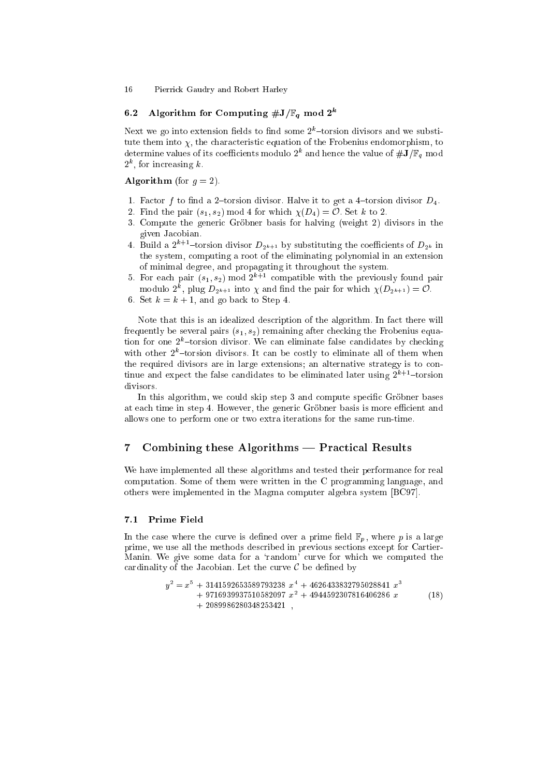#### 6.2 Algorithm for Computing  $\#J/\mathbb{F}_q \mod 2^k$

Next we go into extension neigs to find some 2°-torsion divisors and we substitute them into  $\chi$ , the characteristic equation of the Frobenius endomorphism, to determine values of its coefficients modulo 2  $^{\circ}$  and hence the value of  $\#J/\mathbb{F}_q$  mod  $2^{\circ}$ , for increasing  $\kappa$ .

### Algorithm (for  $g = 2$ ).

- 1. Factor f to find a 2-torsion divisor. Halve it to get a 4-torsion divisor  $D_4$ .
- 2. Find the pair  $(s_1, s_2)$  mod 4 for which  $\chi(D_4) = \mathcal{O}$ . Set k to 2.
- 3. Compute the generic Grobner basis for halving (weight 2) divisors in the given Jacobian.
- 4. Build a  $2^{k+1}$ -torsion divisor  $D_{2^{k+1}}$  by substituting the coefficients of  $D_{2^k}$  in the system, computing a root of the eliminating polynomial in an extension of minimal degree, and propagating it throughout the system.
- 5. For each pair  $(s_1, s_2)$  mod  $2^{k+1}$  compatible with the previously found pair modulo 2", plug  $D_{2^{k+1}}$  into  $\chi$  and find the pair for which  $\chi(D_{2^{k+1}}) = \mathcal{O}$ .
- 6. Set  $k = k + 1$ , and go back to Step 4.

Note that this is an idealized description of the algorithm. In fact there will frequently be several pairs  $(s_1, s_2)$  remaining after checking the Frobenius equa $t$  for one  $2^{\circ}$  -torsion divisor. We can eliminate false candidates by checking with other  $z$  -torsion divisors. It can be costly to eliminate all of them when  $\,$ the required divisors are in large extensions; an alternative strategy is to continue and expect the false candidates to be eliminated later using  $2^{k+1}$ -torsion divisors.

In this algorithm, we could skip step 3 and compute specific Gröbner bases at each time in step 4. However, the generic Gröbner basis is more efficient and allows one to perform one or two extra iterations for the same run-time.

## 7 Combining these Algorithms  $-$  Practical Results

We have implemented all these algorithms and tested their performance for real computation. Some of them were written in the C programming language, and others were implemented in the Magma computer algebra system [BC97].

#### 7.1 Prime Field

In the case where the case we can depend over a prime element  $p$  , where  $p$  as a large prime, we use all the methods described in previous sections except for Cartier-Manin. We give some data for a `random' curve for which we computed the cardinality of the Jacobian. Let the curve  $\mathcal C$  be defined by

$$
y^2 = x^5 + 3141592653589793238 \t x^4 + 4626433832795028841 \t x^3 + 9716939937510582097 \t x^2 + 4944592307816406286 \t x \t (18) + 2089986280348253421
$$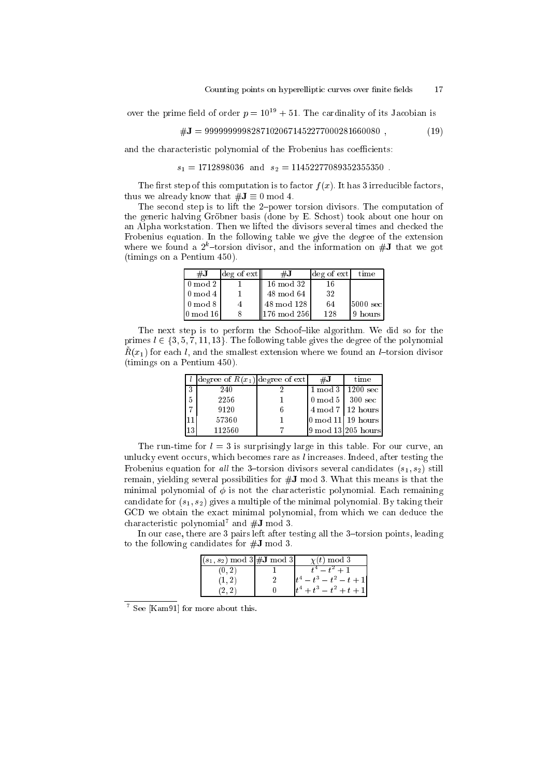over the prime field of order  $p = 10^{19} + 51$ . The cardinality of its Jacobian is

$$
#J = 99999999982871020671452277000281660080 , \qquad (19)
$$

and the characteristic polynomial of the Frobenius has coefficients:

 $s_1 = 1712898036$  and  $s_2 = 11452277089352355350$ .

The first step of this computation is to factor  $f(x)$ . It has 3 irreducible factors, thus we already know that  $\#\mathbf{J} \equiv 0 \text{ mod } 4$ .

The second step is to lift the 2-power torsion divisors. The computation of the generic halving Grobner basis (done by E. Schost) took about one hour on an Alpha workstation. Then we lifted the divisors several times and checked the Frobenius equation. In the following table we give the degree of the extension where we found a  $2^n$ -torsion divisor, and the information on  $\#J$  that we got (timings on a Pentium 450).

| $\#$ .J                     | $\deg$ of ext | $\#$ .J                             | deg of ext | time                 |
|-----------------------------|---------------|-------------------------------------|------------|----------------------|
| $\pm 0 \mod 2$              |               | $16 \mod 32$                        | 16         |                      |
| $\lfloor 0 \mod 4 \rfloor$  |               | $48 \bmod 64$                       | 32         |                      |
| $\lfloor 0 \mod 8 \rfloor$  |               | $\sqrt{48} \mod 128$                | 64         | $ 5000 \text{ sec} $ |
| $\lfloor 0 \mod 16 \rfloor$ |               | $\parallel$ 176 mod 256 $\parallel$ | 128        | <sup>19</sup> hours  |

The next step is to perform the Schoof-like algorithm. We did so for the primes  $l \in \{3, 5, 7, 11, 13\}$ . The following table gives the degree of the polynomial  $R(x_1)$  for each l, and the smallest extension where we found an l-torsion divisor (timings on a Pentium 450).

|                | degree of $R(x_1)$ degree of ext | $\#\mathrm{J}$       | time                                 |
|----------------|----------------------------------|----------------------|--------------------------------------|
| 3              | 240                              |                      | $1 \mod 3$   1200 sec                |
| $\overline{5}$ | 2256                             | $0 \mod 5$   300 sec |                                      |
| 7              | 9120                             |                      | $4 \mod 7$   12 hours                |
|                | 57360                            |                      | $\lfloor 0 \mod 11 \rfloor$ 19 hours |
| פו             | 112560                           |                      | $9 \mod 13$ 205 hours                |

The run-time for  $l = 3$  is surprisingly large in this table. For our curve, an unlucky event occurs, which becomes rare as  $l$  increases. Indeed, after testing the Frobenius equation for all the 3-torsion divisors several candidates  $(s_1, s_2)$  still remain, yielding several possibilities for  $\#J$  mod 3. What this means is that the minimal polynomial of  $\phi$  is not the characteristic polynomial. Each remaining candidate for  $(s_1, s_2)$  gives a multiple of the minimal polynomial. By taking their GCD we obtain the exact minimal polynomial, from which we can deduce the characteristic polynomial and  $\#J$  mod 3.

In our case, there are  $3$  pairs left after testing all the  $3$ -torsion points, leading to the following candidates for  $\#J \mod 3$ .

| $(s_1, s_2) \mod 3 \neq J \mod 3$ | $\chi(t) \mod 3$        |
|-----------------------------------|-------------------------|
| 0. 2°                             |                         |
| (1.2)                             | $(t^4-t^3-t^2-t+1)$     |
|                                   | $t^4 + t^3 = t^2 + t$ . |

<sup>7</sup> See [Kam91] for more about this.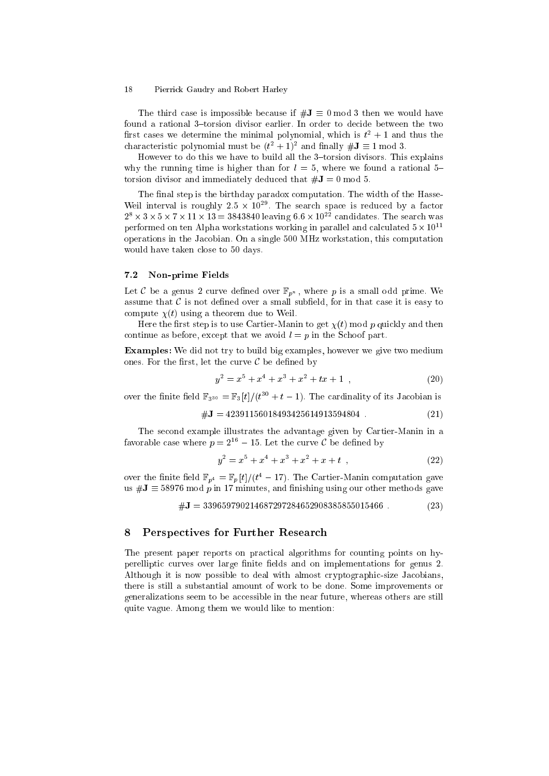The third case is impossible because if  $\#J \equiv 0 \mod 3$  then we would have found a rational 3-torsion divisor earlier. In order to decide between the two first cases we determine the minimal polynomial, which is  $t^- + 1$  and thus the characteristic polynomial must be  $(\iota^+ + 1)^-$  and mially  $\#J = 1$  mod  $\mathfrak{d}.$ 

However to do this we have to build all the  $3$ -torsion divisors. This explains why the running time is higher than for  $l = 5$ , where we found a rational 5 torsion divisor and immediately deduced that  $\#\mathbf{J} = 0 \text{ mod } 5$ .

The final step is the birthday paradox computation. The width of the Hasse-Well interval is roughly  $2.5 \times 10^{-8}$ . The search space is reduced by a factor  $2^\circ$   $\times$   $3$   $\times$   $9$   $\times$   $11$   $\times$   $13 =$   $3843840$  leaving 0.0  $\times$  10<sup>--</sup> candidates. The search was performed on ten Alpha workstations working in parallel and calculated 5 x 1011 operations in the Jacobian. On a single 500 MHz workstation, this computation would have taken close to 50 days.

#### 7.2 Non-prime Fields

Let C be a genus 2 curve defined over  $\mathbb{F}_{p^n}$ , where p is a small odd prime. We assume that  $\mathcal C$  is not defined over a small subfield, for in that case it is easy to compute  $\chi(t)$  using a theorem due to Weil.

Here the first step is to use Cartier-Manin to get  $\chi(t)$  mod p quickly and then continue as before, except that we avoid  $l = p$  in the Schoof part.

Examples: We did not try to build big examples, however we give two medium ones. For the first, let the curve  $\mathcal C$  be defined by

$$
y^2 = x^5 + x^4 + x^3 + x^2 + tx + 1 \tag{20}
$$

over the innite neighborhood  $\mathbb{F}_{3^{30}} = \mathbb{F}_{3}$  [t][(t<sup>-+</sup> + t - 1). The cardinality of its Jacobian is

#J = 42391156018493425614913594804 : (21)

The second example illustrates the advantage given by Cartier-Manin in a favorable case where  $p = 2^{16} - 15$ . Let the curve C be defined by

$$
y^2 = x^5 + x^4 + x^3 + x^2 + x + t \t\t(22)
$$

over the nuite neighborhology  $\mathbb{F}_{p^4} = \mathbb{F}_p[t]/(t^* - 1$  (). The Cartier-Manin computation gave us  $\#J \equiv 58976 \mod p$  in 17 minutes, and finishing using our other methods gave

$$
#J = 339659790214687297284652908385855015466 . \tag{23}
$$

#### 8 Perspectives for Further Research

The present paper reports on practical algorithms for counting points on hyperelliptic curves over large finite fields and on implementations for genus 2. Although it is now possible to deal with almost cryptographic-size Jacobians, there is still a substantial amount of work to be done. Some improvements or generalizations seem to be accessible in the near future, whereas others are still quite vague. Among them we would like to mention: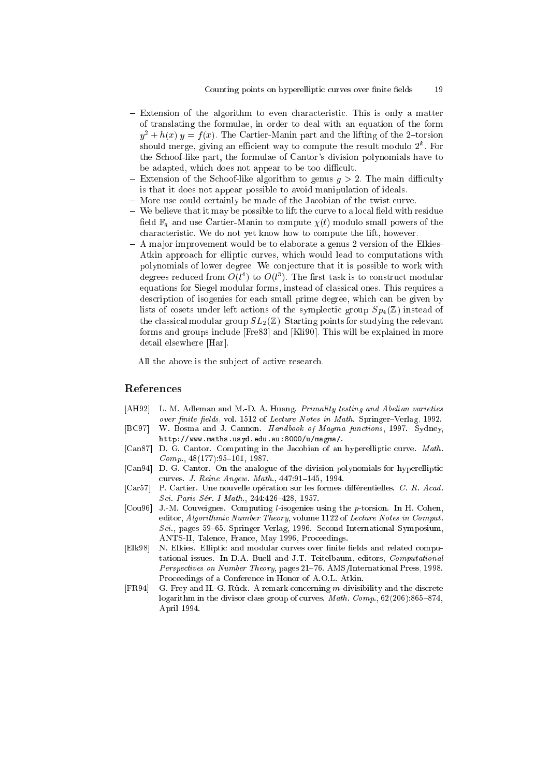$1<sub>0</sub>$ 

- ${\sf -}$  Extension of the algorithm to even characteristic. This is only a matter of translating the formulae, in order to deal with an equation of the form  $y^- + n(x)$   $y = f(x)$ . The Cartier-Manin part and the lifting of the 2-torsion should merge, giving an emclem way to compute the result modulo  $2^{\circ}$ . For the Schoof-like part, the formulae of Cantor's division polynomials have to be adapted, which does not appear to be too difficult.
- Extension of the Schoof-like algorithm to genus  $g > 2$ . The main difficulty is that it does not appear possible to avoid manipulation of ideals.
- ${\bf -}$  More use could certainly be made of the Jacobian of the twist curve.
- $-$  We believe that it may be possible to lift the curve to a local field with residue eld Fq and use Cartier-Manin to compute (t) modulo small powers of the characteristic. We do not yet know how to compute the lift, however.
- A major improvement would be to elaborate a genus 2 version of the Elkies-Atkin approach for elliptic curves, which would lead to computations with polynomials of lower degree. We conjecture that it is possible to work with degrees reduced from  $O(t^*)$  to  $O(t^*)$ . The first task is to construct modular equations for Siegel modular forms, instead of classical ones. This requires a description of isogenies for each small prime degree, which can be given by lists of cosets under left actions of the symplectic group  $Sp_4(\mathbb{Z})$  instead of the classical modular group  $SL_2(\mathbb{Z})$ . Starting points for studying the relevant forms and groups include [Fre83] and [Kli90]. This will be explained in more detail elsewhere [Har].

All the above is the subject of active research.

## References

- [AH92] L. M. Adleman and M.-D. A. Huang. Primality testing and Abelian varieties over finite fields, vol. 1512 of Lecture Notes in Math. Springer-Verlag, 1992.
- [BC97] W. Bosma and J. Cannon. Handbook of Magma functions, 1997. Sydney, http://www.maths.usyd.edu.au:8000/u/magma/.
- [Can87] D. G. Cantor. Computing in the Jacobian of an hyperelliptic curve. Math.  $Comp., 48(177):95{-}101, 1987.$
- [Can94] D. G. Cantor. On the analogue of the division polynomials for hyperelliptic curves. J. Reine Angew. Math.,  $447:91-145$ , 1994.
- [Car57] P. Cartier. Une nouvelle operation sur les formes differentielles. C. R. Acad. Sci. Paris Sér. I Math., 244:426-428, 1957.
- [Cou96] J.-M. Couveignes. Computing l-isogenies using the p-torsion. In H. Cohen, editor, Algorithmic Number Theory, volume 1122 of Lecture Notes in Comput. Sci., pages 59-65. Springer Verlag, 1996. Second International Symposium, ANTS-II, Talence, France, May 1996, Proceedings.
- [Elk98] N. Elkies. Elliptic and modular curves over finite fields and related computational issues. In D.A. Buell and J.T. Teitelbaum, editors, Computational Perspectives on Number Theory, pages 21-76. AMS/International Press, 1998. Proceedings of a Conference in Honor of A.O.L. Atkin.
- [FR94] G. Frey and H.-G. Rück. A remark concerning m-divisibility and the discrete logarithm in the divisor class group of curves. Math.  $Comp., 62(206):865-874,$ April 1994. April 1994.